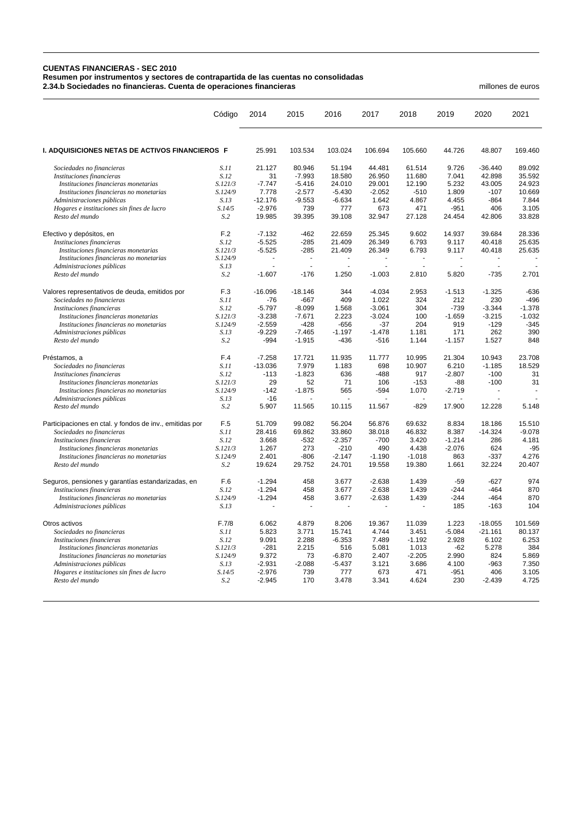## **CUENTAS FINANCIERAS - SEC 2010 Resumen por instrumentos y sectores de contrapartida de las cuentas no consolidadas 2.34.b Sociedades no financieras. Cuenta de operaciones financieras** millones de euros

|                                                         | Código         | 2014           | 2015      | 2016           | 2017     | 2018     | 2019           | 2020      | 2021     |
|---------------------------------------------------------|----------------|----------------|-----------|----------------|----------|----------|----------------|-----------|----------|
| I. ADQUISICIONES NETAS DE ACTIVOS FINANCIEROS F         |                | 25.991         | 103.534   | 103.024        | 106.694  | 105.660  | 44.726         | 48.807    | 169.460  |
| Sociedades no financieras                               | S.11           | 21.127         | 80.946    | 51.194         | 44.481   | 61.514   | 9.726          | $-36.440$ | 89.092   |
| Instituciones financieras                               | S.12           | 31             | $-7.993$  | 18.580         | 26.950   | 11.680   | 7.041          | 42.898    | 35.592   |
| Instituciones financieras monetarias                    | S.121/3        | $-7.747$       | $-5.416$  | 24.010         | 29.001   | 12.190   | 5.232          | 43.005    | 24.923   |
| Instituciones financieras no monetarias                 | S.124/9        | 7.778          | $-2.577$  | $-5.430$       | $-2.052$ | $-510$   | 1.809          | $-107$    | 10.669   |
| Administraciones públicas                               | S.13           | $-12.176$      | $-9.553$  | $-6.634$       | 1.642    | 4.867    | 4.455          | $-864$    | 7.844    |
| Hogares e instituciones sin fines de lucro              | S.14/5         | $-2.976$       | 739       | 777            | 673      | 471      | $-951$         | 406       | 3.105    |
| Resto del mundo                                         | S.2            | 19.985         | 39.395    | 39.108         | 32.947   | 27.128   | 24.454         | 42.806    | 33.828   |
| Efectivo y depósitos, en                                | F.2            | $-7.132$       | $-462$    | 22.659         | 25.345   | 9.602    | 14.937         | 39.684    | 28.336   |
| Instituciones financieras                               | S.12           | $-5.525$       | $-285$    | 21.409         | 26.349   | 6.793    | 9.117          | 40.418    | 25.635   |
| Instituciones financieras monetarias                    | S.121/3        | $-5.525$       | $-285$    | 21.409         | 26.349   | 6.793    | 9.117          | 40.418    | 25.635   |
| Instituciones financieras no monetarias                 | S.124/9        | $\overline{a}$ | ÷         | $\overline{a}$ | ÷.       | ÷.       | $\blacksquare$ | $\sim$    |          |
| Administraciones públicas                               | S.13           |                |           |                |          |          |                |           |          |
| Resto del mundo                                         | S <sub>2</sub> | $-1.607$       | $-176$    | 1.250          | $-1.003$ | 2.810    | 5.820          | $-735$    | 2.701    |
| Valores representativos de deuda, emitidos por          | F.3            | $-16.096$      | $-18.146$ | 344            | $-4.034$ | 2.953    | $-1.513$       | $-1.325$  | $-636$   |
| Sociedades no financieras                               | S.11           | -76            | $-667$    | 409            | 1.022    | 324      | 212            | 230       | $-496$   |
| Instituciones financieras                               | S.12           | $-5.797$       | $-8.099$  | 1.568          | $-3.061$ | 304      | $-739$         | $-3.344$  | $-1.378$ |
| Instituciones financieras monetarias                    | S.121/3        | $-3.238$       | $-7.671$  | 2.223          | $-3.024$ | 100      | $-1.659$       | $-3.215$  | $-1.032$ |
| Instituciones financieras no monetarias                 | S.124/9        | $-2.559$       | $-428$    | $-656$         | $-37$    | 204      | 919            | $-129$    | $-345$   |
| Administraciones públicas                               | S.13           | $-9.229$       | $-7.465$  | $-1.197$       | $-1.478$ | 1.181    | 171            | 262       | 390      |
| Resto del mundo                                         | S.2            | -994           | $-1.915$  | $-436$         | $-516$   | 1.144    | $-1.157$       | 1.527     | 848      |
| Préstamos, a                                            | F.4            | $-7.258$       | 17.721    | 11.935         | 11.777   | 10.995   | 21.304         | 10.943    | 23.708   |
| Sociedades no financieras                               | S.11           | $-13.036$      | 7.979     | 1.183          | 698      | 10.907   | 6.210          | $-1.185$  | 18.529   |
| Instituciones financieras                               | S.12           | $-113$         | $-1.823$  | 636            | $-488$   | 917      | $-2.807$       | $-100$    | 31       |
| Instituciones financieras monetarias                    | S.121/3        | 29             | 52        | 71             | 106      | $-153$   | $-88$          | $-100$    | 31       |
| Instituciones financieras no monetarias                 | S.124/9        | $-142$         | $-1.875$  | 565            | $-594$   | 1.070    | $-2.719$       |           |          |
| Administraciones públicas                               | S.13           | $-16$          |           |                |          |          |                |           |          |
| Resto del mundo                                         | S <sub>2</sub> | 5.907          | 11.565    | 10.115         | 11.567   | $-829$   | 17.900         | 12.228    | 5.148    |
| Participaciones en ctal. y fondos de inv., emitidas por | F.5            | 51.709         | 99.082    | 56.204         | 56.876   | 69.632   | 8.834          | 18.186    | 15.510   |
| Sociedades no financieras                               | S.11           | 28.416         | 69.862    | 33.860         | 38.018   | 46.832   | 8.387          | $-14.324$ | $-9.078$ |
| Instituciones financieras                               | S.12           | 3.668          | $-532$    | $-2.357$       | $-700$   | 3.420    | $-1.214$       | 286       | 4.181    |
| Instituciones financieras monetarias                    | S.121/3        | 1.267          | 273       | $-210$         | 490      | 4.438    | $-2.076$       | 624       | $-95$    |
| Instituciones financieras no monetarias                 | S.124/9        | 2.401          | $-806$    | $-2.147$       | $-1.190$ | $-1.018$ | 863            | $-337$    | 4.276    |
| Resto del mundo                                         | S <sub>2</sub> | 19.624         | 29.752    | 24.701         | 19.558   | 19.380   | 1.661          | 32.224    | 20.407   |
| Seguros, pensiones y garantías estandarizadas, en       | F.6            | $-1.294$       | 458       | 3.677          | $-2.638$ | 1.439    | $-59$          | $-627$    | 974      |
| Instituciones financieras                               | S.12           | $-1.294$       | 458       | 3.677          | $-2.638$ | 1.439    | $-244$         | $-464$    | 870      |
| Instituciones financieras no monetarias                 | S.124/9        | $-1.294$       | 458       | 3.677          | $-2.638$ | 1.439    | $-244$         | $-464$    | 870      |
| Administraciones públicas                               | S.13           |                |           |                |          |          | 185            | $-163$    | 104      |
| Otros activos                                           | F.7/8          | 6.062          | 4.879     | 8.206          | 19.367   | 11.039   | 1.223          | $-18.055$ | 101.569  |
| Sociedades no financieras                               | S.11           | 5.823          | 3.771     | 15.741         | 4.744    | 3.451    | $-5.084$       | $-21.161$ | 80.137   |
| Instituciones financieras                               | S.12           | 9.091          | 2.288     | $-6.353$       | 7.489    | $-1.192$ | 2.928          | 6.102     | 6.253    |
| Instituciones financieras monetarias                    | S.121/3        | $-281$         | 2.215     | 516            | 5.081    | 1.013    | $-62$          | 5.278     | 384      |
| Instituciones financieras no monetarias                 | S.124/9        | 9.372          | 73        | $-6.870$       | 2.407    | $-2.205$ | 2.990          | 824       | 5.869    |
| Administraciones públicas                               | S.13           | $-2.931$       | $-2.088$  | $-5.437$       | 3.121    | 3.686    | 4.100          | $-963$    | 7.350    |
| Hogares e instituciones sin fines de lucro              | S.14/5         | $-2.976$       | 739       | 777            | 673      | 471      | $-951$         | 406       | 3.105    |
| Resto del mundo                                         | S.2            | $-2.945$       | 170       | 3.478          | 3.341    | 4.624    | 230            | $-2.439$  | 4.725    |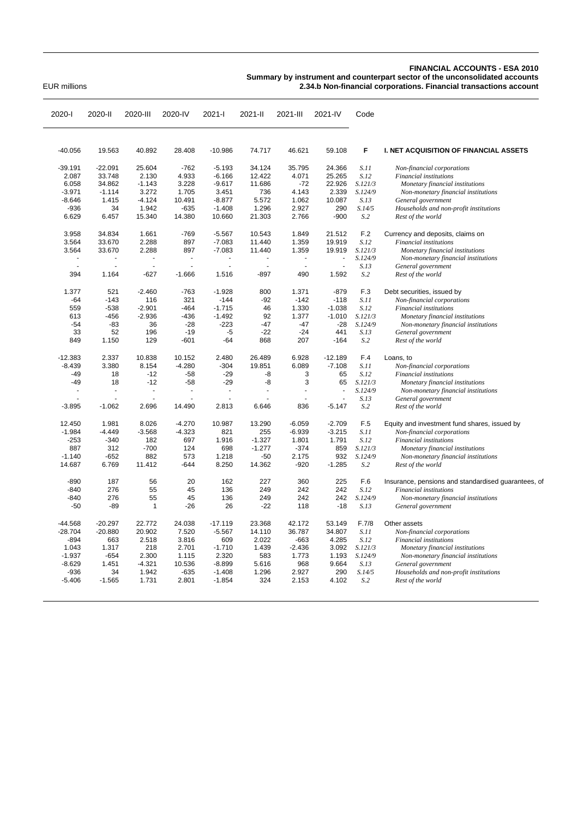## **FINANCIAL ACCOUNTS - ESA 2010**

**Summary by instrument and counterpart sector of the unconsolidated accounts**

EUR millions **2.34.b Non-financial corporations. Financial transactions account**

| 2020-l    | 2020-II   | 2020-III | 2020-IV                  | 2021-l         | 2021-II        | 2021-III       | 2021-IV        | Code    |                                                     |
|-----------|-----------|----------|--------------------------|----------------|----------------|----------------|----------------|---------|-----------------------------------------------------|
|           |           |          |                          |                |                |                |                |         |                                                     |
| $-40.056$ | 19.563    | 40.892   | 28.408                   | $-10.986$      | 74.717         | 46.621         | 59.108         | F       | I. NET ACQUISITION OF FINANCIAL ASSETS              |
| $-39.191$ | $-22.091$ | 25.604   | $-762$                   | $-5.193$       | 34.124         | 35.795         | 24.366         | S.11    | Non-financial corporations                          |
| 2.087     | 33.748    | 2.130    | 4.933                    | $-6.166$       | 12.422         | 4.071          | 25.265         | S.12    | Financial institutions                              |
| 6.058     | 34.862    | $-1.143$ | 3.228                    | $-9.617$       | 11.686         | $-72$          | 22.926         | S.121/3 | Monetary financial institutions                     |
| $-3.971$  | $-1.114$  | 3.272    | 1.705                    | 3.451          | 736            | 4.143          | 2.339          | S.124/9 | Non-monetary financial institutions                 |
| $-8.646$  | 1.415     | $-4.124$ | 10.491                   | $-8.877$       | 5.572          | 1.062          | 10.087         | S.13    | General government                                  |
| $-936$    | 34        | 1.942    | $-635$                   | $-1.408$       | 1.296          | 2.927          | 290            | S.14/5  | Households and non-profit institutions              |
| 6.629     | 6.457     | 15.340   | 14.380                   | 10.660         | 21.303         | 2.766          | $-900$         | S.2     | Rest of the world                                   |
| 3.958     | 34.834    | 1.661    | $-769$                   | $-5.567$       | 10.543         | 1.849          | 21.512         | F.2     | Currency and deposits, claims on                    |
| 3.564     | 33.670    | 2.288    | 897                      | $-7.083$       | 11.440         | 1.359          | 19.919         | S.12    | Financial institutions                              |
| 3.564     | 33.670    | 2.288    | 897                      | $-7.083$       | 11.440         | 1.359          | 19.919         | S.121/3 | Monetary financial institutions                     |
|           |           |          | $\overline{\phantom{a}}$ | $\blacksquare$ |                | $\blacksquare$ | $\overline{a}$ | S.124/9 | Non-monetary financial institutions                 |
|           |           |          |                          | ä,             |                | ÷.             | L.             | S.13    | General government                                  |
| 394       | 1.164     | $-627$   | $-1.666$                 | 1.516          | $-897$         | 490            | 1.592          | S.2     | Rest of the world                                   |
| 1.377     | 521       | $-2.460$ | $-763$                   | $-1.928$       | 800            | 1.371          | $-879$         | F.3     | Debt securities, issued by                          |
| -64       | $-143$    | 116      | 321                      | $-144$         | $-92$          | $-142$         | $-118$         | S.11    | Non-financial corporations                          |
| 559       | $-538$    | $-2.901$ | $-464$                   | $-1.715$       | 46             | 1.330          | $-1.038$       | S.12    | Financial institutions                              |
| 613       | $-456$    | $-2.936$ | $-436$                   | $-1.492$       | 92             | 1.377          | $-1.010$       | S.121/3 | Monetary financial institutions                     |
| $-54$     | $-83$     | 36       | $-28$                    | $-223$         | $-47$          | $-47$          | $-28$          | S.124/9 | Non-monetary financial institutions                 |
| 33        | 52        | 196      | $-19$                    | $-5$           | $-22$          | $-24$          | 441            | S.13    | General government                                  |
| 849       | 1.150     | 129      | $-601$                   | -64            | 868            | 207            | $-164$         | S.2     | Rest of the world                                   |
| $-12.383$ | 2.337     | 10.838   | 10.152                   | 2.480          | 26.489         | 6.928          | $-12.189$      | F.4     | Loans, to                                           |
| $-8.439$  | 3.380     | 8.154    | $-4.280$                 | $-304$         | 19.851         | 6.089          | $-7.108$       | S.11    | Non-financial corporations                          |
| $-49$     | 18        | $-12$    | $-58$                    | $-29$          | -8             | 3              | 65             | S.12    | Financial institutions                              |
| $-49$     | 18        | $-12$    | $-58$                    | $-29$          | -8             | 3              | 65             | S.121/3 | Monetary financial institutions                     |
|           |           |          |                          | L.             | $\overline{a}$ | $\overline{a}$ | L.             | S.124/9 | Non-monetary financial institutions                 |
|           |           |          |                          |                |                |                |                | S.13    | General government                                  |
| $-3.895$  | $-1.062$  | 2.696    | 14.490                   | 2.813          | 6.646          | 836            | $-5.147$       | S.2     | Rest of the world                                   |
| 12.450    | 1.981     | 8.026    | $-4.270$                 | 10.987         | 13.290         | $-6.059$       | $-2.709$       | F.5     | Equity and investment fund shares, issued by        |
| $-1.984$  | $-4.449$  | $-3.568$ | $-4.323$                 | 821            | 255            | $-6.939$       | $-3.215$       | S.11    | Non-financial corporations                          |
| $-253$    | $-340$    | 182      | 697                      | 1.916          | $-1.327$       | 1.801          | 1.791          | S.12    | Financial institutions                              |
| 887       | 312       | $-700$   | 124                      | 698            | $-1.277$       | $-374$         | 859            | S.121/3 | Monetary financial institutions                     |
| $-1.140$  | $-652$    | 882      | 573                      | 1.218          | $-50$          | 2.175          | 932            | S.124/9 | Non-monetary financial institutions                 |
| 14.687    | 6.769     | 11.412   | $-644$                   | 8.250          | 14.362         | $-920$         | $-1.285$       | S.2     | Rest of the world                                   |
| $-890$    | 187       | 56       | 20                       | 162            | 227            | 360            | 225            | F.6     | Insurance, pensions and standardised guarantees, of |
| $-840$    | 276       | 55       | 45                       | 136            | 249            | 242            | 242            | S.12    | Financial institutions                              |
| $-840$    | 276       | 55       | 45                       | 136            | 249            | 242            | 242            | S.124/9 | Non-monetary financial institutions                 |
| $-50$     | $-89$     | 1        | $-26$                    | 26             | $-22$          | 118            | $-18$          | S.13    | General government                                  |
| $-44.568$ | $-20.297$ | 22.772   | 24.038                   | $-17.119$      | 23.368         | 42.172         | 53.149         | F.7/8   | Other assets                                        |
| $-28.704$ | $-20.880$ | 20.902   | 7.520                    | $-5.567$       | 14.110         | 36.787         | 34.807         | S.11    | Non-financial corporations                          |
| $-894$    | 663       | 2.518    | 3.816                    | 609            | 2.022          | $-663$         | 4.285          | S.12    | Financial institutions                              |
| 1.043     | 1.317     | 218      | 2.701                    | $-1.710$       | 1.439          | $-2.436$       | 3.092          | S.121/3 | Monetary financial institutions                     |
| $-1.937$  | $-654$    | 2.300    | 1.115                    | 2.320          | 583            | 1.773          | 1.193          | S.124/9 | Non-monetary financial institutions                 |
| $-8.629$  | 1.451     | $-4.321$ | 10.536                   | $-8.899$       | 5.616          | 968            | 9.664          | S.13    | General government                                  |
| -936      | 34        | 1.942    | $-635$                   | $-1.408$       | 1.296          | 2.927          | 290            | S.14/5  | Households and non-profit institutions              |
| $-5.406$  | $-1.565$  | 1.731    | 2.801                    | $-1.854$       | 324            | 2.153          | 4.102          | S.2     | Rest of the world                                   |
|           |           |          |                          |                |                |                |                |         |                                                     |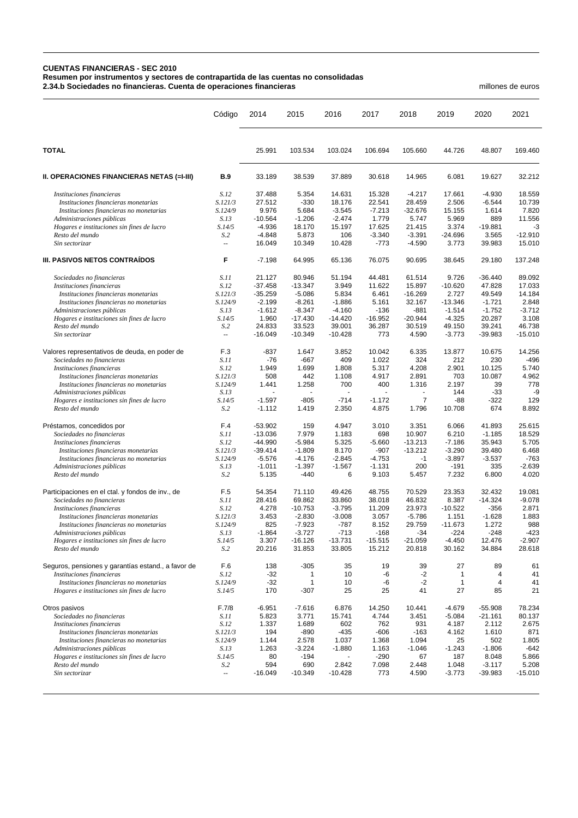## **CUENTAS FINANCIERAS - SEC 2010**

**Resumen por instrumentos y sectores de contrapartida de las cuentas no consolidadas 2.34.b Sociedades no financieras. Cuenta de operaciones financieras** millones de euros

|                                                                      | Código                   | 2014                 | 2015                 | 2016                 | 2017                 | 2018                    | 2019               | 2020            | 2021               |
|----------------------------------------------------------------------|--------------------------|----------------------|----------------------|----------------------|----------------------|-------------------------|--------------------|-----------------|--------------------|
| <b>TOTAL</b>                                                         |                          | 25.991               | 103.534              | 103.024              | 106.694              | 105.660                 | 44.726             | 48.807          | 169.460            |
| II. OPERACIONES FINANCIERAS NETAS (=I-III)                           | <b>B.9</b>               | 33.189               | 38.539               | 37.889               | 30.618               | 14.965                  | 6.081              | 19.627          | 32.212             |
| Instituciones financieras                                            | S.12                     | 37.488               | 5.354                | 14.631               | 15.328               | $-4.217$                | 17.661             | $-4.930$        | 18.559             |
| Instituciones financieras monetarias                                 | S.121/3                  | 27.512               | $-330$               | 18.176               | 22.541               | 28.459                  | 2.506              | $-6.544$        | 10.739             |
| Instituciones financieras no monetarias                              | S.124/9                  | 9.976                | 5.684                | $-3.545$             | $-7.213$             | $-32.676$               | 15.155             | 1.614           | 7.820              |
| Administraciones públicas                                            | S.13                     | $-10.564$            | $-1.206$             | $-2.474$             | 1.779                | 5.747                   | 5.969              | 889             | 11.556             |
| Hogares e instituciones sin fines de lucro                           | S.14/5                   | $-4.936$             | 18.170               | 15.197               | 17.625               | 21.415                  | 3.374              | $-19.881$       | -3                 |
| Resto del mundo                                                      | S <sub>0</sub>           | $-4.848$             | 5.873                | 106                  | $-3.340$             | $-3.391$                | $-24.696$          | 3.565           | $-12.910$          |
| Sin sectorizar                                                       | Ξ.                       | 16.049               | 10.349               | 10.428               | $-773$               | $-4.590$                | 3.773              | 39.983          | 15.010             |
| III. PASIVOS NETOS CONTRAÍDOS                                        | F                        | $-7.198$             | 64.995               | 65.136               | 76.075               | 90.695                  | 38.645             | 29.180          | 137.248            |
| Sociedades no financieras                                            | S.11                     | 21.127               | 80.946               | 51.194               | 44.481               | 61.514                  | 9.726              | $-36.440$       | 89.092             |
| Instituciones financieras                                            | S.12                     | $-37.458$            | $-13.347$            | 3.949                | 11.622               | 15.897                  | $-10.620$          | 47.828          | 17.033             |
| Instituciones financieras monetarias                                 | S.121/3                  | $-35.259$            | $-5.086$             | 5.834                | 6.461                | $-16.269$               | 2.727              | 49.549          | 14.184             |
| Instituciones financieras no monetarias                              | S.124/9                  | $-2.199$             | $-8.261$             | $-1.886$             | 5.161                | 32.167                  | $-13.346$          | $-1.721$        | 2.848              |
| Administraciones públicas                                            | S.13                     | $-1.612$             | $-8.347$             | $-4.160$             | $-136$               | -881                    | $-1.514$           | $-1.752$        | $-3.712$           |
| Hogares e instituciones sin fines de lucro                           | S.14/5                   | 1.960                | $-17.430$            | $-14.420$            | $-16.952$            | $-20.944$               | $-4.325$           | 20.287          | 3.108              |
| Resto del mundo<br>Sin sectorizar                                    | S.2<br>÷.                | 24.833               | 33.523               | 39.001               | 36.287               | 30.519                  | 49.150             | 39.241          | 46.738             |
|                                                                      |                          | $-16.049$            | $-10.349$            | $-10.428$            | 773                  | 4.590                   | $-3.773$           | $-39.983$       | $-15.010$          |
| Valores representativos de deuda, en poder de                        | F.3                      | -837                 | 1.647                | 3.852                | 10.042               | 6.335                   | 13.877             | 10.675          | 14.256             |
| Sociedades no financieras                                            | S.11                     | -76                  | $-667$               | 409                  | 1.022                | 324                     | 212                | 230             | $-496$             |
| Instituciones financieras                                            | S.12                     | 1.949                | 1.699                | 1.808                | 5.317                | 4.208                   | 2.901              | 10.125          | 5.740              |
| Instituciones financieras monetarias                                 | S.121/3                  | 508                  | 442                  | 1.108                | 4.917                | 2.891                   | 703                | 10.087          | 4.962              |
| Instituciones financieras no monetarias                              | S.124/9                  | 1.441                | 1.258                | 700                  | 400                  | 1.316                   | 2.197              | 39              | 778                |
| Administraciones públicas                                            | S.13                     |                      |                      |                      |                      | ä,                      | 144                | $-33$           | -9                 |
| Hogares e instituciones sin fines de lucro<br>Resto del mundo        | S.14/5<br>S.2            | $-1.597$<br>$-1.112$ | $-805$<br>1.419      | $-714$<br>2.350      | $-1.172$<br>4.875    | $\overline{7}$<br>1.796 | -88<br>10.708      | -322<br>674     | 129<br>8.892       |
|                                                                      |                          |                      |                      |                      |                      |                         |                    |                 |                    |
| Préstamos, concedidos por                                            | F.4                      | $-53.902$            | 159                  | 4.947                | 3.010                | 3.351                   | 6.066              | 41.893          | 25.615             |
| Sociedades no financieras                                            | S.11                     | $-13.036$            | 7.979                | 1.183                | 698                  | 10.907                  | 6.210              | $-1.185$        | 18.529             |
| Instituciones financieras                                            | S.12                     | -44.990              | $-5.984$             | 5.325                | $-5.660$             | $-13.213$               | $-7.186$           | 35.943          | 5.705              |
| Instituciones financieras monetarias                                 | S.121/3                  | $-39.414$            | $-1.809$             | 8.170                | $-907$               | $-13.212$               | $-3.290$           | 39.480          | 6.468              |
| Instituciones financieras no monetarias<br>Administraciones públicas | S.124/9<br>S.13          | $-5.576$<br>$-1.011$ | $-4.176$<br>$-1.397$ | $-2.845$<br>$-1.567$ | $-4.753$<br>$-1.131$ | $-1$<br>200             | $-3.897$<br>$-191$ | $-3.537$<br>335 | $-763$<br>$-2.639$ |
| Resto del mundo                                                      | S.2                      | 5.135                | $-440$               | 6                    | 9.103                | 5.457                   | 7.232              | 6.800           | 4.020              |
| Participaciones en el ctal. y fondos de inv., de                     | F.5                      | 54.354               | 71.110               | 49.426               | 48.755               | 70.529                  | 23.353             | 32.432          | 19.081             |
| Sociedades no financieras                                            | S.11                     | 28.416               | 69.862               | 33.860               | 38.018               | 46.832                  | 8.387              | $-14.324$       | $-9.078$           |
| Instituciones financieras                                            | S.12                     | 4.278                | $-10.753$            | $-3.795$             | 11.209               | 23.973                  | $-10.522$          | $-356$          | 2.871              |
| Instituciones financieras monetarias                                 | S.121/3                  | 3.453                | $-2.830$             | $-3.008$             | 3.057                | $-5.786$                | 1.151              | $-1.628$        | 1.883              |
| Instituciones financieras no monetarias                              | S.124/9                  | 825                  | $-7.923$             | $-787$               | 8.152                | 29.759                  | $-11.673$          | 1.272           | 988                |
| Administraciones públicas                                            | S.13                     | $-1.864$             | $-3.727$             | $-713$               | $-168$               | $-34$                   | $-224$             | $-248$          | $-423$             |
| Hogares e instituciones sin fines de lucro                           | S.14/5                   | 3.307                | -16.126              | -13.731              | -15.515              | -21.059                 | -4.450             | 12.476          | -2.907             |
| Resto del mundo                                                      | S.2                      | 20.216               | 31.853               | 33.805               | 15.212               | 20.818                  | 30.162             | 34.884          | 28.618             |
| Seguros, pensiones y garantías estand., a favor de                   | F.6                      | 138                  | $-305$               | 35                   | 19                   | 39                      | 27                 | 89              | 61                 |
| Instituciones financieras                                            | S.12                     | $-32$                | 1                    | 10                   | -6                   | $-2$                    | 1                  | 4               | 41                 |
| Instituciones financieras no monetarias                              | S.124/9                  | $-32$                | 1                    | 10                   | -6                   | $-2$                    | 1                  | $\overline{4}$  | 41                 |
| Hogares e instituciones sin fines de lucro                           | S.14/5                   | 170                  | $-307$               | 25                   | 25                   | 41                      | 27                 | 85              | 21                 |
| Otros pasivos                                                        | F.7/8                    | $-6.951$             | $-7.616$             | 6.876                | 14.250               | 10.441                  | -4.679             | $-55.908$       | 78.234             |
| Sociedades no financieras                                            | S.11                     | 5.823                | 3.771                | 15.741               | 4.744                | 3.451                   | $-5.084$           | $-21.161$       | 80.137             |
| Instituciones financieras                                            | S.12                     | 1.337                | 1.689                | 602                  | 762                  | 931                     | 4.187              | 2.112           | 2.675              |
| Instituciones financieras monetarias                                 | S.121/3                  | 194                  | $-890$               | $-435$               | $-606$               | $-163$                  | 4.162              | 1.610           | 871                |
| Instituciones financieras no monetarias                              | S.124/9                  | 1.144                | 2.578                | 1.037                | 1.368                | 1.094                   | 25                 | 502             | 1.805              |
| Administraciones públicas                                            | S.13                     | 1.263                | $-3.224$             | $-1.880$             | 1.163                | $-1.046$                | $-1.243$           | $-1.806$        | $-642$             |
| Hogares e instituciones sin fines de lucro                           | S.14/5                   | 80                   | $-194$               |                      | $-290$               | 67                      | 187                | 8.048           | 5.866              |
| Resto del mundo                                                      | S.2                      | 594                  | 690                  | 2.842                | 7.098                | 2.448                   | 1.048              | $-3.117$        | 5.208              |
| Sin sectorizar                                                       | $\overline{\phantom{a}}$ | $-16.049$            | $-10.349$            | $-10.428$            | 773                  | 4.590                   | $-3.773$           | $-39.983$       | $-15.010$          |